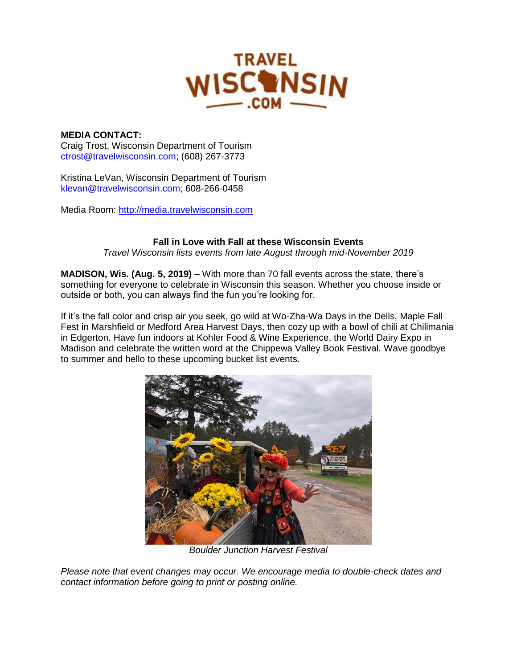

# **MEDIA CONTACT:**

Craig Trost, Wisconsin Department of Tourism [ctrost@travelwisconsin.com;](mailto:ctrost@travelwisconsin.com) (608) 267-3773

Kristina LeVan, Wisconsin Department of Tourism [klevan@travelwisconsin.com;](mailto:klevan@travelwisconsin.com) 608-266-0458

Media Room: [http://media.travelwisconsin.com](http://media.travelwisconsin.com/)

# **Fall in Love with Fall at these Wisconsin Events**

*Travel Wisconsin lists events from late August through mid-November 2019*

**MADISON, Wis. (Aug. 5, 2019)** – With more than 70 fall events across the state, there's something for everyone to celebrate in Wisconsin this season. Whether you choose inside or outside or both, you can always find the fun you're looking for.

If it's the fall color and crisp air you seek, go wild at Wo-Zha-Wa Days in the Dells, Maple Fall Fest in Marshfield or Medford Area Harvest Days, then cozy up with a bowl of chili at Chilimania in Edgerton. Have fun indoors at Kohler Food & Wine Experience, the World Dairy Expo in Madison and celebrate the written word at the Chippewa Valley Book Festival. Wave goodbye to summer and hello to these upcoming bucket list events.



*Boulder Junction Harvest Festival* 

*Please note that event changes may occur. We encourage media to double-check dates and contact information before going to print or posting online.*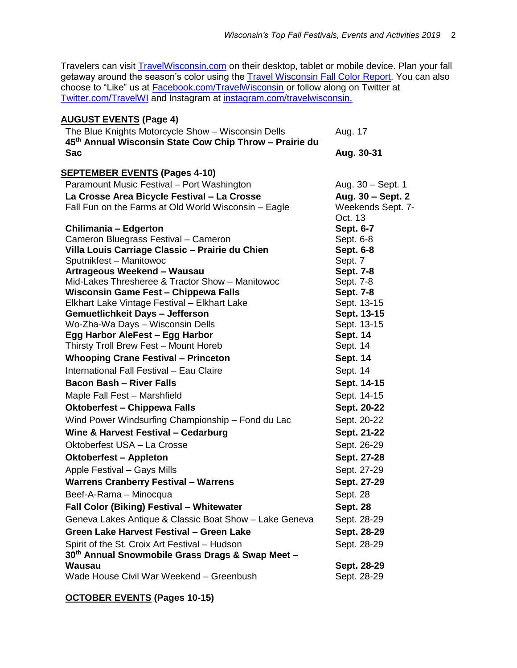Travelers can visit [TravelWisconsin.com](http://www.travelwisconsin.com/) on their desktop, tablet or mobile device. Plan your fall getaway around the season's color using the [Travel Wisconsin](https://www.travelwisconsin.com/fall-color-report) Fall Color Report. You can also choose to "Like" us at *Facebook.com/TravelWisconsin* or follow along on Twitter at [Twitter.com/TravelWI](https://twitter.com/travelwi) and Instagram at [instagram.com/travelwisconsin.](https://www.instagram.com/travelwisconsin/?hl=en)

| <b>AUGUST EVENTS (Page 4)</b>                                                                                 |                              |
|---------------------------------------------------------------------------------------------------------------|------------------------------|
| The Blue Knights Motorcycle Show - Wisconsin Dells<br>45th Annual Wisconsin State Cow Chip Throw - Prairie du | Aug. 17                      |
| <b>Sac</b>                                                                                                    | Aug. 30-31                   |
| <b>SEPTEMBER EVENTS (Pages 4-10)</b>                                                                          |                              |
| Paramount Music Festival - Port Washington                                                                    | Aug. 30 – Sept. 1            |
| La Crosse Area Bicycle Festival - La Crosse                                                                   | Aug. 30 – Sept. 2            |
| Fall Fun on the Farms at Old World Wisconsin – Eagle                                                          | Weekends Sept. 7-<br>Oct. 13 |
| <b>Chilimania - Edgerton</b>                                                                                  | Sept. 6-7                    |
| Cameron Bluegrass Festival - Cameron                                                                          | Sept. 6-8                    |
| Villa Louis Carriage Classic - Prairie du Chien                                                               | Sept. 6-8                    |
| Sputnikfest - Manitowoc                                                                                       | Sept. 7                      |
| Artrageous Weekend - Wausau                                                                                   | <b>Sept. 7-8</b>             |
| Mid-Lakes Thresheree & Tractor Show - Manitowoc                                                               | Sept. 7-8                    |
| <b>Wisconsin Game Fest - Chippewa Falls</b>                                                                   | <b>Sept. 7-8</b>             |
| Elkhart Lake Vintage Festival - Elkhart Lake                                                                  | Sept. 13-15                  |
| <b>Gemuetlichkeit Days - Jefferson</b>                                                                        | Sept. 13-15                  |
| Wo-Zha-Wa Days - Wisconsin Dells                                                                              | Sept. 13-15                  |
| Egg Harbor AleFest - Egg Harbor                                                                               | <b>Sept. 14</b>              |
| Thirsty Troll Brew Fest - Mount Horeb                                                                         | Sept. 14                     |
| <b>Whooping Crane Festival - Princeton</b>                                                                    | <b>Sept. 14</b>              |
| International Fall Festival - Eau Claire                                                                      | Sept. 14                     |
| <b>Bacon Bash - River Falls</b>                                                                               | Sept. 14-15                  |
| Maple Fall Fest - Marshfield                                                                                  | Sept. 14-15                  |
| <b>Oktoberfest – Chippewa Falls</b>                                                                           | Sept. 20-22                  |
| Wind Power Windsurfing Championship - Fond du Lac                                                             | Sept. 20-22                  |
| Wine & Harvest Festival - Cedarburg                                                                           | Sept. 21-22                  |
| Oktoberfest USA - La Crosse                                                                                   | Sept. 26-29                  |
| <b>Oktoberfest - Appleton</b>                                                                                 | Sept. 27-28                  |
| Apple Festival - Gays Mills                                                                                   | Sept. 27-29                  |
| <b>Warrens Cranberry Festival - Warrens</b>                                                                   | Sept. 27-29                  |
| Beef-A-Rama - Minocqua                                                                                        | Sept. 28                     |
| Fall Color (Biking) Festival - Whitewater                                                                     | <b>Sept. 28</b>              |
| Geneva Lakes Antique & Classic Boat Show - Lake Geneva                                                        | Sept. 28-29                  |
| Green Lake Harvest Festival - Green Lake                                                                      | Sept. 28-29                  |
| Spirit of the St. Croix Art Festival - Hudson                                                                 | Sept. 28-29                  |
| 30th Annual Snowmobile Grass Drags & Swap Meet -                                                              |                              |
| Wausau                                                                                                        | Sept. 28-29                  |
| Wade House Civil War Weekend - Greenbush                                                                      | Sept. 28-29                  |

**OCTOBER EVENTS (Pages 10-15)**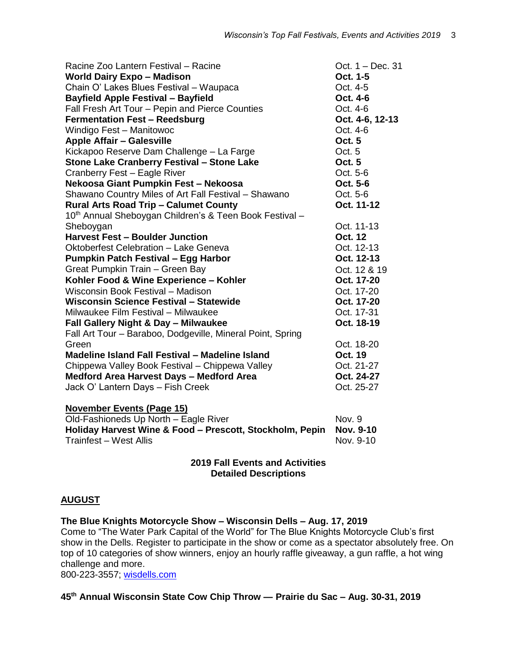| Racine Zoo Lantern Festival - Racine                                | Oct. 1 - Dec. 31  |
|---------------------------------------------------------------------|-------------------|
| <b>World Dairy Expo - Madison</b>                                   | Oct. 1-5          |
| Chain O' Lakes Blues Festival - Waupaca                             | Oct. 4-5          |
| <b>Bayfield Apple Festival - Bayfield</b>                           | Oct. 4-6          |
| Fall Fresh Art Tour - Pepin and Pierce Counties                     | Oct. 4-6          |
| <b>Fermentation Fest - Reedsburg</b>                                | Oct. 4-6, 12-13   |
| Windigo Fest - Manitowoc                                            | Oct. 4-6          |
| <b>Apple Affair - Galesville</b>                                    | <b>Oct. 5</b>     |
| Kickapoo Reserve Dam Challenge - La Farge                           | Oct. <sub>5</sub> |
| <b>Stone Lake Cranberry Festival - Stone Lake</b>                   | <b>Oct. 5</b>     |
| Cranberry Fest - Eagle River                                        | Oct. 5-6          |
| Nekoosa Giant Pumpkin Fest - Nekoosa                                | Oct. 5-6          |
| Shawano Country Miles of Art Fall Festival - Shawano                | Oct. 5-6          |
| <b>Rural Arts Road Trip - Calumet County</b>                        | Oct. 11-12        |
| 10 <sup>th</sup> Annual Sheboygan Children's & Teen Book Festival - |                   |
| Sheboygan                                                           | Oct. 11-13        |
| <b>Harvest Fest - Boulder Junction</b>                              | <b>Oct. 12</b>    |
| <b>Oktoberfest Celebration - Lake Geneva</b>                        | Oct. 12-13        |
| <b>Pumpkin Patch Festival - Egg Harbor</b>                          | Oct. 12-13        |
| Great Pumpkin Train - Green Bay                                     | Oct. 12 & 19      |
| Kohler Food & Wine Experience - Kohler                              | Oct. 17-20        |
| Wisconsin Book Festival - Madison                                   | Oct. 17-20        |
| Wisconsin Science Festival - Statewide                              | Oct. 17-20        |
| Milwaukee Film Festival - Milwaukee                                 | Oct. 17-31        |
| <b>Fall Gallery Night &amp; Day - Milwaukee</b>                     | Oct. 18-19        |
| Fall Art Tour - Baraboo, Dodgeville, Mineral Point, Spring          |                   |
| Green                                                               | Oct. 18-20        |
| Madeline Island Fall Festival - Madeline Island                     | <b>Oct. 19</b>    |
| Chippewa Valley Book Festival - Chippewa Valley                     | Oct. 21-27        |
| <b>Medford Area Harvest Days - Medford Area</b>                     | Oct. 24-27        |
| Jack O' Lantern Days - Fish Creek                                   | Oct. 25-27        |
| <b>November Events (Page 15)</b>                                    |                   |
| Old-Fashioneds Up North - Eagle River                               | Nov. 9            |
| Holiday Harvest Wine & Food - Prescott, Stockholm, Pepin            | Nov. 9-10         |
| <b>Trainfest - West Allis</b>                                       | Nov. 9-10         |

#### **2019 Fall Events and Activities Detailed Descriptions**

# **AUGUST**

**The Blue Knights Motorcycle Show – Wisconsin Dells – Aug. 17, 2019** 

Come to "The Water Park Capital of the World" for The Blue Knights Motorcycle Club's first show in the Dells. Register to participate in the show or come as a spectator absolutely free. On top of 10 categories of show winners, enjoy an hourly raffle giveaway, a gun raffle, a hot wing challenge and more.

800-223-3557; [wisdells.com](https://www.wisdells.com/)

# **45th Annual Wisconsin State Cow Chip Throw — Prairie du Sac – Aug. 30-31, 2019**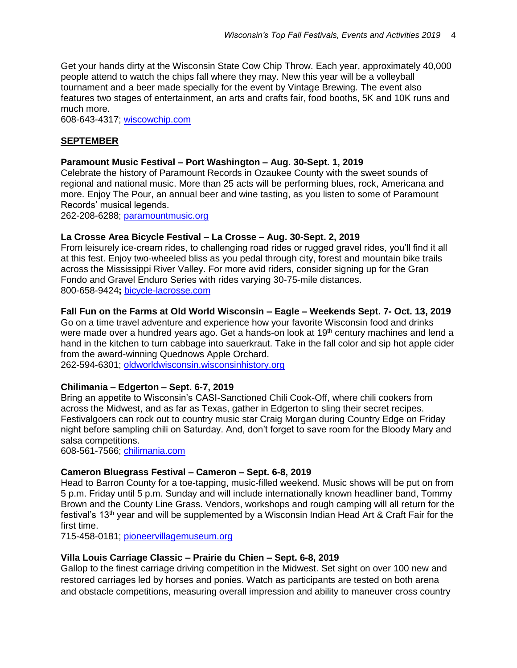Get your hands dirty at the Wisconsin State Cow Chip Throw. Each year, approximately 40,000 people attend to watch the chips fall where they may. New this year will be a volleyball tournament and a beer made specially for the event by Vintage Brewing. The event also features two stages of entertainment, an arts and crafts fair, food booths, 5K and 10K runs and much more.

608-643-4317; [wiscowchip.com](http://www.wiscowchip.com/)

# **SEPTEMBER**

#### **Paramount Music Festival – Port Washington – Aug. 30-Sept. 1, 2019**

Celebrate the history of Paramount Records in Ozaukee County with the sweet sounds of regional and national music. More than 25 acts will be performing blues, rock, Americana and more. Enjoy The Pour, an annual beer and wine tasting, as you listen to some of Paramount Records' musical legends.

262-208-6288; [paramountmusic.org](http://paramountmusic.org/)

#### **La Crosse Area Bicycle Festival – La Crosse – Aug. 30-Sept. 2, 2019**

From leisurely ice-cream rides, to challenging road rides or rugged gravel rides, you'll find it all at this fest. Enjoy two-wheeled bliss as you pedal through city, forest and mountain bike trails across the Mississippi River Valley. For more avid riders, consider signing up for the Gran Fondo and Gravel Enduro Series with rides varying 30-75-mile distances. 800-658-9424**;** [bicycle-lacrosse.com](http://bicycle-lacrosse.com/)

#### **Fall Fun on the Farms at Old World Wisconsin – Eagle – Weekends Sept. 7- Oct. 13, 2019**

Go on a time travel adventure and experience how your favorite Wisconsin food and drinks were made over a hundred years ago. Get a hands-on look at 19<sup>th</sup> century machines and lend a hand in the kitchen to turn cabbage into sauerkraut. Take in the fall color and sip hot apple cider from the award-winning Quednows Apple Orchard.

262-594-6301; [oldworldwisconsin.wisconsinhistory.org](http://oldworldwisconsin.wisconsinhistory.org/)

#### **Chilimania – Edgerton – Sept. 6-7, 2019**

Bring an appetite to Wisconsin's CASI-Sanctioned Chili Cook-Off, where chili cookers from across the Midwest, and as far as Texas, gather in Edgerton to sling their secret recipes. Festivalgoers can rock out to country music star Craig Morgan during Country Edge on Friday night before sampling chili on Saturday. And, don't forget to save room for the Bloody Mary and salsa competitions.

608-561-7566; [chilimania.com](http://www.chilimania.com/)

#### **Cameron Bluegrass Festival – Cameron – Sept. 6-8, 2019**

Head to Barron County for a toe-tapping, music-filled weekend. Music shows will be put on from 5 p.m. Friday until 5 p.m. Sunday and will include internationally known headliner band, Tommy Brown and the County Line Grass. Vendors, workshops and rough camping will all return for the festival's 13<sup>th</sup> year and will be supplemented by a Wisconsin Indian Head Art & Craft Fair for the first time.

715-458-0181; [pioneervillagemuseum.org](http://www.pioneervillagemuseum.org/)

#### **Villa Louis Carriage Classic – Prairie du Chien – Sept. 6-8, 2019**

Gallop to the finest carriage driving competition in the Midwest. Set sight on over 100 new and restored carriages led by horses and ponies. Watch as participants are tested on both arena and obstacle competitions, measuring overall impression and ability to maneuver cross country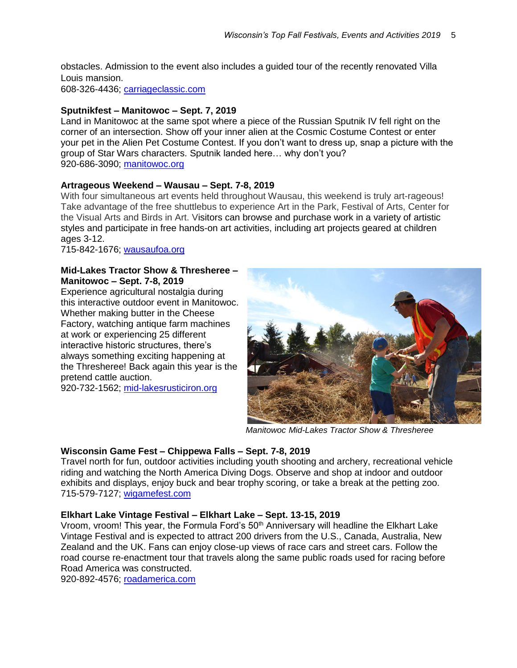obstacles. Admission to the event also includes a guided tour of the recently renovated Villa Louis mansion.

608-326-4436; [carriageclassic.com](http://www.carriageclassic.com/)

#### **Sputnikfest – Manitowoc – Sept. 7, 2019**

Land in Manitowoc at the same spot where a piece of the Russian Sputnik IV fell right on the corner of an intersection. Show off your inner alien at the Cosmic Costume Contest or enter your pet in the Alien Pet Costume Contest. If you don't want to dress up, snap a picture with the group of Star Wars characters. Sputnik landed here… why don't you? 920-686-3090; [manitowoc.org](http://www.manitowoc.org/index.aspx?NID=1109)

#### **Artrageous Weekend – Wausau – Sept. 7-8, 2019**

With four simultaneous art events held throughout Wausau, this weekend is truly art-rageous! Take advantage of the free shuttlebus to experience Art in the Park, Festival of Arts, Center for the Visual Arts and Birds in Art. Visitors can browse and purchase work in a variety of artistic styles and participate in free hands-on art activities, including art projects geared at children ages 3-12.

715-842-1676; [wausaufoa.org](http://www.wausaufoa.org/)

#### **Mid-Lakes Tractor Show & Thresheree – Manitowoc – Sept. 7-8, 2019**

Experience agricultural nostalgia during this interactive outdoor event in Manitowoc. Whether making butter in the Cheese Factory, watching antique farm machines at work or experiencing 25 different interactive historic structures, there's always something exciting happening at the Thresheree! Back again this year is the pretend cattle auction.

920-732-1562; [mid-lakesrusticiron.org](http://www.mid-lakesrusticiron.org/)



*Manitowoc Mid-Lakes Tractor Show & Thresheree*

#### **Wisconsin Game Fest – Chippewa Falls – Sept. 7-8, 2019**

Travel north for fun, outdoor activities including youth shooting and archery, recreational vehicle riding and watching the North America Diving Dogs. Observe and shop at indoor and outdoor exhibits and displays, enjoy buck and bear trophy scoring, or take a break at the petting zoo. 715-579-7127; [wigamefest.com](http://www.wigamefest.com/)

# **Elkhart Lake Vintage Festival – Elkhart Lake – Sept. 13-15, 2019**

Vroom, vroom! This year, the Formula Ford's 50<sup>th</sup> Anniversary will headline the Elkhart Lake Vintage Festival and is expected to attract 200 drivers from the U.S., Canada, Australia, New Zealand and the UK. Fans can enjoy close-up views of race cars and street cars. Follow the road course re-enactment tour that travels along the same public roads used for racing before Road America was constructed.

920-892-4576; [roadamerica.com](http://www.roadamerica.com/)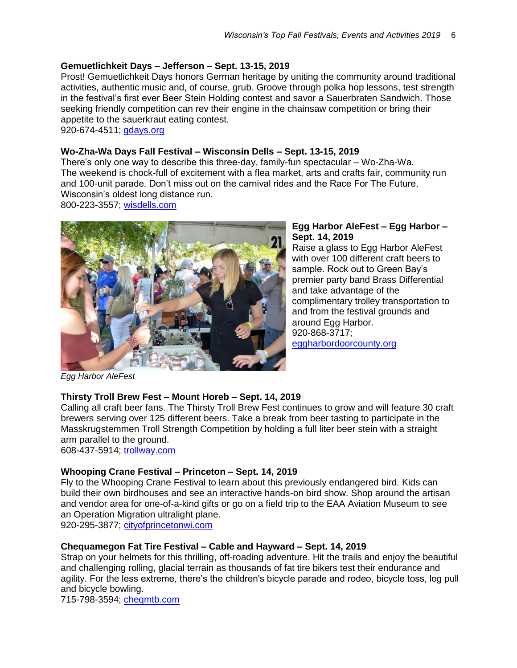# **Gemuetlichkeit Days – Jefferson – Sept. 13-15, 2019**

Prost! Gemuetlichkeit Days honors German heritage by uniting the community around traditional activities, authentic music and, of course, grub. Groove through polka hop lessons, test strength in the festival's first ever Beer Stein Holding contest and savor a Sauerbraten Sandwich. Those seeking friendly competition can rev their engine in the chainsaw competition or bring their appetite to the sauerkraut eating contest.

920-674-4511; [gdays.org](http://www.gdays.org/)

#### **Wo-Zha-Wa Days Fall Festival – Wisconsin Dells – Sept. 13-15, 2019**

There's only one way to describe this three-day, family-fun spectacular – Wo-Zha-Wa. The weekend is chock-full of excitement with a flea market, arts and crafts fair, community run and 100-unit parade. Don't miss out on the carnival rides and the Race For The Future, Wisconsin's oldest long distance run. 800-223-3557; [wisdells.com](http://www.wisdells.com/wozhawa.htm)



#### **Egg Harbor AleFest – Egg Harbor – Sept. 14, 2019**

Raise a glass to Egg Harbor AleFest with over 100 different craft beers to sample. Rock out to Green Bay's premier party band Brass Differential and take advantage of the complimentary trolley transportation to and from the festival grounds and around Egg Harbor. 920-868-3717; [eggharbordoorcounty.org](http://www.eggharbordoorcounty.org/)

*Egg Harbor AleFest*

# **Thirsty Troll Brew Fest – Mount Horeb – Sept. 14, 2019**

Calling all craft beer fans. The Thirsty Troll Brew Fest continues to grow and will feature 30 craft brewers serving over 125 different beers. Take a break from beer tasting to participate in the Masskrugstemmen Troll Strength Competition by holding a full liter beer stein with a straight arm parallel to the ground.

608-437-5914; [trollway.com](https://www.trollway.com/)

# **Whooping Crane Festival – Princeton – Sept. 14, 2019**

Fly to the Whooping Crane Festival to learn about this previously endangered bird. Kids can build their own birdhouses and see an interactive hands-on bird show. Shop around the artisan and vendor area for one-of-a-kind gifts or go on a field trip to the EAA Aviation Museum to see an Operation Migration ultralight plane.

920-295-3877; [cityofprincetonwi.com](http://www.cityofprincetonwi.com/)

# **Chequamegon Fat Tire Festival – Cable and Hayward – Sept. 14, 2019**

Strap on your helmets for this thrilling, off-roading adventure. Hit the trails and enjoy the beautiful and challenging rolling, glacial terrain as thousands of fat tire bikers test their endurance and agility. For the less extreme, there's the children's bicycle parade and rodeo, bicycle toss, log pull and bicycle bowling.

715-798-3594; [cheqmtb.com](https://www.cheqmtb.com/)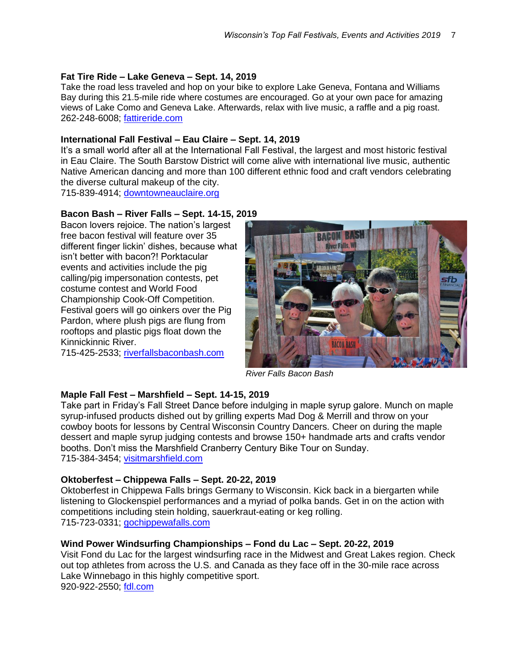#### **Fat Tire Ride – Lake Geneva – Sept. 14, 2019**

Take the road less traveled and hop on your bike to explore Lake Geneva, Fontana and Williams Bay during this 21.5-mile ride where costumes are encouraged. Go at your own pace for amazing views of Lake Como and Geneva Lake. Afterwards, relax with live music, a raffle and a pig roast. 262-248-6008; [fattireride.com](http://www.fattireride.com/)

#### **International Fall Festival – Eau Claire – Sept. 14, 2019**

It's a small world after all at the International Fall Festival, the largest and most historic festival in Eau Claire. The South Barstow District will come alive with international live music, authentic Native American dancing and more than 100 different ethnic food and craft vendors celebrating the diverse cultural makeup of the city.

715-839-4914; [downtowneauclaire.org](https://www.downtowneauclaire.org/)

#### **Bacon Bash – River Falls – Sept. 14-15, 2019**

Bacon lovers rejoice. The nation's largest free bacon festival will feature over 35 different finger lickin' dishes, because what isn't better with bacon?! Porktacular events and activities include the pig calling/pig impersonation contests, pet costume contest and World Food Championship Cook-Off Competition. Festival goers will go oinkers over the Pig Pardon, where plush pigs are flung from rooftops and plastic pigs float down the Kinnickinnic River.

715-425-2533; [riverfallsbaconbash.com](http://www.riverfallsbaconbash.com/)



*River Falls Bacon Bash*

# **Maple Fall Fest – Marshfield – Sept. 14-15, 2019**

Take part in Friday's Fall Street Dance before indulging in maple syrup galore. Munch on maple syrup-infused products dished out by grilling experts Mad Dog & Merrill and throw on your cowboy boots for lessons by Central Wisconsin Country Dancers. Cheer on during the maple dessert and maple syrup judging contests and browse 150+ handmade arts and crafts vendor booths. Don't miss the Marshfield Cranberry Century Bike Tour on Sunday. 715-384-3454; [visitmarshfield.com](http://visitmarshfield.com/)

# **Oktoberfest – Chippewa Falls – Sept. 20-22, 2019**

Oktoberfest in Chippewa Falls brings Germany to Wisconsin. Kick back in a biergarten while listening to Glockenspiel performances and a myriad of polka bands. Get in on the action with competitions including stein holding, sauerkraut-eating or keg rolling. 715-723-0331; [gochippewafalls.com](http://gochippewafalls.com/)

#### **Wind Power Windsurfing Championships – Fond du Lac – Sept. 20-22, 2019**

Visit Fond du Lac for the largest windsurfing race in the Midwest and Great Lakes region. Check out top athletes from across the U.S. and Canada as they face off in the 30-mile race across Lake Winnebago in this highly competitive sport. 920-922-2550; [fdl.com](http://www.fdl.com/)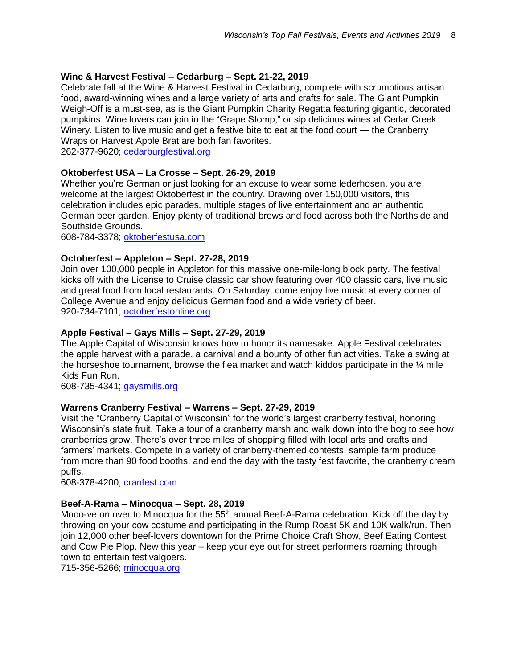# **Wine & Harvest Festival – Cedarburg – Sept. 21-22, 2019**

Celebrate fall at the Wine & Harvest Festival in Cedarburg, complete with scrumptious artisan food, award-winning wines and a large variety of arts and crafts for sale. The Giant Pumpkin Weigh-Off is a must-see, as is the Giant Pumpkin Charity Regatta featuring gigantic, decorated pumpkins. Wine lovers can join in the "Grape Stomp," or sip delicious wines at Cedar Creek Winery. Listen to live music and get a festive bite to eat at the food court — the Cranberry Wraps or Harvest Apple Brat are both fan favorites.

262-377-9620; [cedarburgfestival.org](http://www.cedarburgfestival.org/)

# **Oktoberfest USA – La Crosse – Sept. 26-29, 2019**

Whether you're German or just looking for an excuse to wear some lederhosen, you are welcome at the largest Oktoberfest in the country. Drawing over 150,000 visitors, this celebration includes epic parades, multiple stages of live entertainment and an authentic German beer garden. Enjoy plenty of traditional brews and food across both the Northside and Southside Grounds.

608-784-3378; [oktoberfestusa.com](https://www.oktoberfestusa.com/)

# **Octoberfest – Appleton – Sept. 27-28, 2019**

Join over 100,000 people in Appleton for this massive one-mile-long block party. The festival kicks off with the License to Cruise classic car show featuring over 400 classic cars, live music and great food from local restaurants. On Saturday, come enjoy live music at every corner of College Avenue and enjoy delicious German food and a wide variety of beer. 920-734-7101; [octoberfestonline.org](http://www.octoberfestonline.org/)

# **Apple Festival – Gays Mills – Sept. 27-29, 2019**

The Apple Capital of Wisconsin knows how to honor its namesake. Apple Festival celebrates the apple harvest with a parade, a carnival and a bounty of other fun activities. Take a swing at the horseshoe tournament, browse the flea market and watch kiddos participate in the  $\frac{1}{4}$  mile Kids Fun Run.

608-735-4341; [gaysmills.org](http://www.gaysmills.org/)

# **Warrens Cranberry Festival – Warrens – Sept. 27-29, 2019**

Visit the "Cranberry Capital of Wisconsin" for the world's largest cranberry festival, honoring Wisconsin's state fruit. Take a tour of a cranberry marsh and walk down into the bog to see how cranberries grow. There's over three miles of shopping filled with local arts and crafts and farmers' markets. Compete in a variety of cranberry-themed contests, sample farm produce from more than 90 food booths, and end the day with the tasty fest favorite, the cranberry cream puffs.

608-378-4200; [cranfest.com](http://www.cranfest.com/)

# **Beef-A-Rama – Minocqua – Sept. 28, 2019**

Mooo-ve on over to Minocqua for the  $55<sup>th</sup>$  annual Beef-A-Rama celebration. Kick off the day by throwing on your cow costume and participating in the Rump Roast 5K and 10K walk/run. Then join 12,000 other beef-lovers downtown for the Prime Choice Craft Show, Beef Eating Contest and Cow Pie Plop. New this year – keep your eye out for street performers roaming through town to entertain festivalgoers.

715-356-5266; [minocqua.org](https://www.minocqua.org/)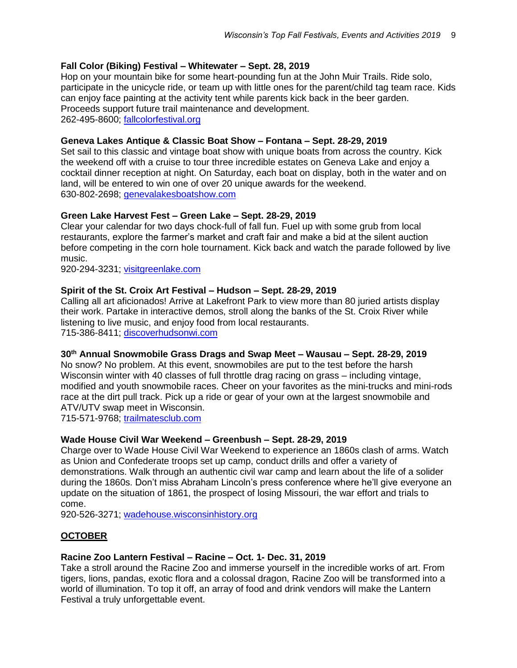# **Fall Color (Biking) Festival – Whitewater – Sept. 28, 2019**

Hop on your mountain bike for some heart-pounding fun at the John Muir Trails. Ride solo, participate in the unicycle ride, or team up with little ones for the parent/child tag team race. Kids can enjoy face painting at the activity tent while parents kick back in the beer garden. Proceeds support future trail maintenance and development. 262-495-8600; [fallcolorfestival.org](http://www.fallcolorfestival.org/)

# **Geneva Lakes Antique & Classic Boat Show – Fontana – Sept. 28-29, 2019**

Set sail to this classic and vintage boat show with unique boats from across the country. Kick the weekend off with a cruise to tour three incredible estates on Geneva Lake and enjoy a cocktail dinner reception at night. On Saturday, each boat on display, both in the water and on land, will be entered to win one of over 20 unique awards for the weekend. 630-802-2698; [genevalakesboatshow.com](http://genevalakesboatshow.com/)

# **Green Lake Harvest Fest – Green Lake – Sept. 28-29, 2019**

Clear your calendar for two days chock-full of fall fun. Fuel up with some grub from local restaurants, explore the farmer's market and craft fair and make a bid at the silent auction before competing in the corn hole tournament. Kick back and watch the parade followed by live music.

920-294-3231; [visitgreenlake.com](http://www.visitgreenlake.com/)

# **Spirit of the St. Croix Art Festival – Hudson – Sept. 28-29, 2019**

Calling all art aficionados! Arrive at Lakefront Park to view more than 80 juried artists display their work. Partake in interactive demos, stroll along the banks of the St. Croix River while listening to live music, and enjoy food from local restaurants. 715-386-8411; [discoverhudsonwi.com](http://discoverhudsonwi.com/)

# **30th Annual Snowmobile Grass Drags and Swap Meet – Wausau – Sept. 28-29, 2019**

No snow? No problem. At this event, snowmobiles are put to the test before the harsh Wisconsin winter with 40 classes of full throttle drag racing on grass – including vintage, modified and youth snowmobile races. Cheer on your favorites as the mini-trucks and mini-rods race at the dirt pull track. Pick up a ride or gear of your own at the largest snowmobile and ATV/UTV swap meet in Wisconsin.

715-571-9768; [trailmatesclub.com](http://www.trailmatesclub.com/)

# **Wade House Civil War Weekend – Greenbush – Sept. 28-29, 2019**

Charge over to Wade House Civil War Weekend to experience an 1860s clash of arms. Watch as Union and Confederate troops set up camp, conduct drills and offer a variety of demonstrations. Walk through an authentic civil war camp and learn about the life of a solider during the 1860s. Don't miss Abraham Lincoln's press conference where he'll give everyone an update on the situation of 1861, the prospect of losing Missouri, the war effort and trials to come.

920-526-3271; [wadehouse.wisconsinhistory.org](http://wadehouse.wisconsinhistory.org/)

# **OCTOBER**

# **Racine Zoo Lantern Festival – Racine – Oct. 1- Dec. 31, 2019**

Take a stroll around the Racine Zoo and immerse yourself in the incredible works of art. From tigers, lions, pandas, exotic flora and a colossal dragon, Racine Zoo will be transformed into a world of illumination. To top it off, an array of food and drink vendors will make the Lantern Festival a truly unforgettable event.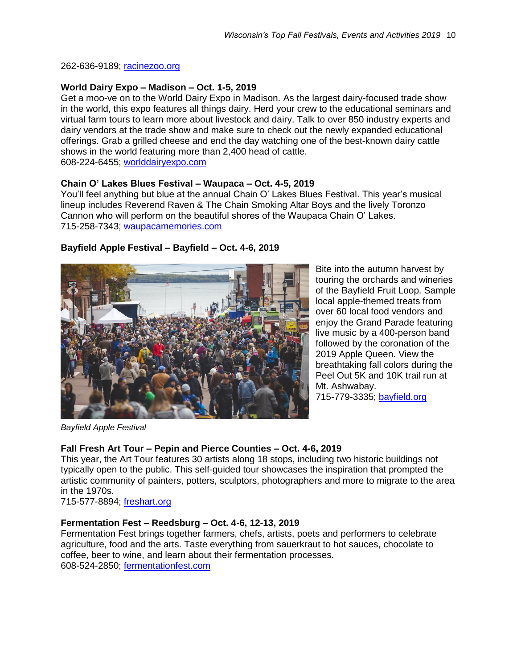#### 262-636-9189; [racinezoo.org](https://www.racinezoo.org/)

#### **World Dairy Expo – Madison – Oct. 1-5, 2019**

Get a moo-ve on to the World Dairy Expo in Madison. As the largest dairy-focused trade show in the world, this expo features all things dairy. Herd your crew to the educational seminars and virtual farm tours to learn more about livestock and dairy. Talk to over 850 industry experts and dairy vendors at the trade show and make sure to check out the newly expanded educational offerings. Grab a grilled cheese and end the day watching one of the best-known dairy cattle shows in the world featuring more than 2,400 head of cattle. 608-224-6455; [worlddairyexpo.com](http://worlddairyexpo.com/)

**Chain O' Lakes Blues Festival – Waupaca – Oct. 4-5, 2019** 

You'll feel anything but blue at the annual Chain O' Lakes Blues Festival. This year's musical lineup includes Reverend Raven & The Chain Smoking Altar Boys and the lively Toronzo Cannon who will perform on the beautiful shores of the Waupaca Chain O' Lakes. 715-258-7343; [waupacamemories.com](https://waupacamemories.com/)



**Bayfield Apple Festival – Bayfield – Oct. 4-6, 2019** 

Bite into the autumn harvest by touring the orchards and wineries of the Bayfield Fruit Loop. Sample local apple-themed treats from over 60 local food vendors and enjoy the Grand Parade featuring live music by a 400-person band followed by the coronation of the 2019 Apple Queen. View the breathtaking fall colors during the Peel Out 5K and 10K trail run at Mt. Ashwabay. 715-779-3335; [bayfield.org](https://bayfield.org/)

*Bayfield Apple Festival* 

# **Fall Fresh Art Tour – Pepin and Pierce Counties – Oct. 4-6, 2019**

This year, the Art Tour features 30 artists along 18 stops, including two historic buildings not typically open to the public. This self-guided tour showcases the inspiration that prompted the artistic community of painters, potters, sculptors, photographers and more to migrate to the area in the 1970s.

715-577-8894; [freshart.org](http://www.freshart.org/)

# **Fermentation Fest – Reedsburg – Oct. 4-6, 12-13, 2019**

Fermentation Fest brings together farmers, chefs, artists, poets and performers to celebrate agriculture, food and the arts. Taste everything from sauerkraut to hot sauces, chocolate to coffee, beer to wine, and learn about their fermentation processes. 608-524-2850; [fermentationfest.com](http://fermentationfest.com/)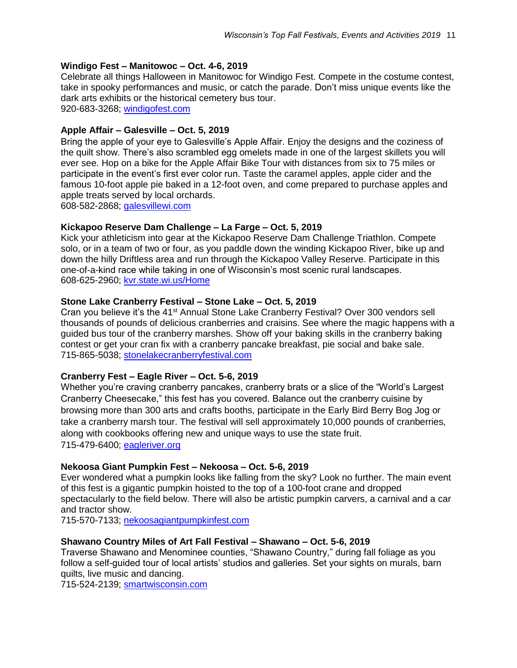#### **Windigo Fest – Manitowoc – Oct. 4-6, 2019**

Celebrate all things Halloween in Manitowoc for Windigo Fest. Compete in the costume contest, take in spooky performances and music, or catch the parade. Don't miss unique events like the dark arts exhibits or the historical cemetery bus tour. 920-683-3268; [windigofest.com](https://www.windigofest.com/)

#### **Apple Affair – Galesville – Oct. 5, 2019**

Bring the apple of your eye to Galesville's Apple Affair. Enjoy the designs and the coziness of the quilt show. There's also scrambled egg omelets made in one of the largest skillets you will ever see. Hop on a bike for the Apple Affair Bike Tour with distances from six to 75 miles or participate in the event's first ever color run. Taste the caramel apples, apple cider and the famous 10-foot apple pie baked in a 12-foot oven, and come prepared to purchase apples and apple treats served by local orchards.

608-582-2868; [galesvillewi.com](http://www.galesvillewi.com/)

#### **Kickapoo Reserve Dam Challenge – La Farge – Oct. 5, 2019**

Kick your athleticism into gear at the Kickapoo Reserve Dam Challenge Triathlon. Compete solo, or in a team of two or four, as you paddle down the winding Kickapoo River, bike up and down the hilly Driftless area and run through the Kickapoo Valley Reserve. Participate in this one-of-a-kind race while taking in one of Wisconsin's most scenic rural landscapes. 608-625-2960; [kvr.state.wi.us/Home](http://kvr.state.wi.us/Home)

#### **Stone Lake Cranberry Festival – Stone Lake – Oct. 5, 2019**

Cran you believe it's the 41<sup>st</sup> Annual Stone Lake Cranberry Festival? Over 300 vendors sell thousands of pounds of delicious cranberries and craisins. See where the magic happens with a guided bus tour of the cranberry marshes. Show off your baking skills in the cranberry baking contest or get your cran fix with a cranberry pancake breakfast, pie social and bake sale. 715-865-5038; [stonelakecranberryfestival.com](http://www.stonelakecranberryfestival.com/)

# **Cranberry Fest – Eagle River – Oct. 5-6, 2019**

Whether you're craving cranberry pancakes, cranberry brats or a slice of the "World's Largest Cranberry Cheesecake," this fest has you covered. Balance out the cranberry cuisine by browsing more than 300 arts and crafts booths, participate in the Early Bird Berry Bog Jog or take a cranberry marsh tour. The festival will sell approximately 10,000 pounds of cranberries, along with cookbooks offering new and unique ways to use the state fruit. 715-479-6400; [eagleriver.org](http://www.eagleriver.org/)

#### **Nekoosa Giant Pumpkin Fest – Nekoosa – Oct. 5-6, 2019**

Ever wondered what a pumpkin looks like falling from the sky? Look no further. The main event of this fest is a gigantic pumpkin hoisted to the top of a 100-foot crane and dropped spectacularly to the field below. There will also be artistic pumpkin carvers, a carnival and a car and tractor show.

715-570-7133; [nekoosagiantpumpkinfest.com](http://nekoosagiantpumpkinfest.com/)

# **Shawano Country Miles of Art Fall Festival – Shawano – Oct. 5-6, 2019**

Traverse Shawano and Menominee counties, "Shawano Country," during fall foliage as you follow a self-guided tour of local artists' studios and galleries. Set your sights on murals, barn quilts, live music and dancing.

715-524-2139; [smartwisconsin.com](http://www.smartwisconsin.com/)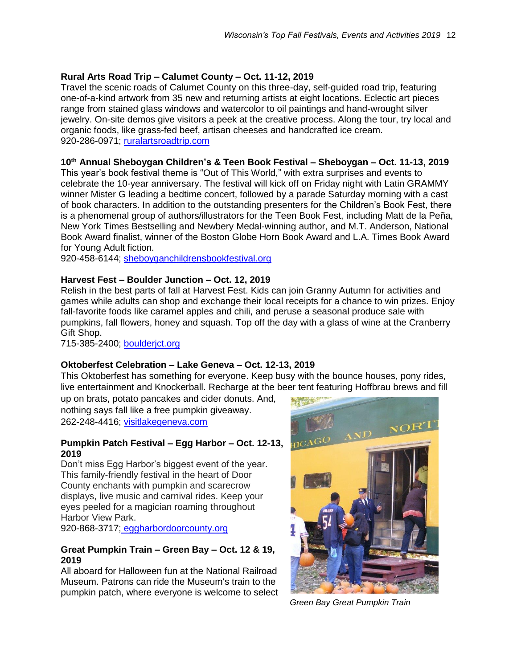# **Rural Arts Road Trip – Calumet County – Oct. 11-12, 2019**

Travel the scenic roads of Calumet County on this three-day, self-guided road trip, featuring one-of-a-kind artwork from 35 new and returning artists at eight locations. Eclectic art pieces range from stained glass windows and watercolor to oil paintings and hand-wrought silver jewelry. On-site demos give visitors a peek at the creative process. Along the tour, try local and organic foods, like grass-fed beef, artisan cheeses and handcrafted ice cream. 920-286-0971; [ruralartsroadtrip.com](http://ruralartsroadtrip.com/index.html)

# **10th Annual Sheboygan Children's & Teen Book Festival – Sheboygan – Oct. 11-13, 2019**

This year's book festival theme is "Out of This World," with extra surprises and events to celebrate the 10-year anniversary. The festival will kick off on Friday night with Latin GRAMMY winner Mister G leading a bedtime concert, followed by a parade Saturday morning with a cast of book characters. In addition to the outstanding presenters for the Children's Book Fest, there is a phenomenal group of authors/illustrators for the Teen Book Fest, including Matt de la Peña, New York Times Bestselling and Newbery Medal-winning author, and M.T. Anderson, National Book Award finalist, winner of the Boston Globe Horn Book Award and L.A. Times Book Award for Young Adult fiction.

920-458-6144; [sheboyganchildrensbookfestival.org](http://sheboyganchildrensbookfestival.org/)

# **Harvest Fest – Boulder Junction – Oct. 12, 2019**

Relish in the best parts of fall at Harvest Fest. Kids can join Granny Autumn for activities and games while adults can shop and exchange their local receipts for a chance to win prizes. Enjoy fall-favorite foods like caramel apples and chili, and peruse a seasonal produce sale with pumpkins, fall flowers, honey and squash. Top off the day with a glass of wine at the Cranberry Gift Shop.

715-385-2400; [boulderjct.org](http://www.boulderjct.org/)

# **Oktoberfest Celebration – Lake Geneva – Oct. 12-13, 2019**

This Oktoberfest has something for everyone. Keep busy with the bounce houses, pony rides, live entertainment and Knockerball. Recharge at the beer tent featuring Hoffbrau brews and fill

up on brats, potato pancakes and cider donuts. And, nothing says fall like a free pumpkin giveaway. 262-248-4416; [visitlakegeneva.com](http://www.visitlakegeneva.com/)

#### **Pumpkin Patch Festival – Egg Harbor – Oct. 12-13, 2019**

Don't miss Egg Harbor's biggest event of the year. This family-friendly festival in the heart of Door County enchants with pumpkin and scarecrow displays, live music and carnival rides. Keep your eyes peeled for a magician roaming throughout Harbor View Park.

920-868-3717; [eggharbordoorcounty.org](http://www.eggharbordoorcounty.org/)

# **Great Pumpkin Train – Green Bay – Oct. 12 & 19, 2019**

All aboard for Halloween fun at the National Railroad Museum. Patrons can ride the Museum's train to the pumpkin patch, where everyone is welcome to select



 *Green Bay Great Pumpkin Train*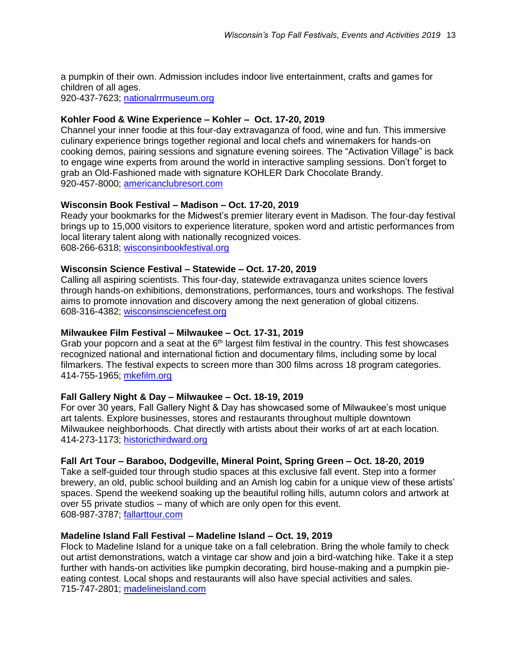a pumpkin of their own. Admission includes indoor live entertainment, crafts and games for children of all ages. 920-437-7623; [nationalrrmuseum.org](http://www.nationalrrmuseum.org/)

# **Kohler Food & Wine Experience – Kohler – Oct. 17-20, 2019**

Channel your inner foodie at this four-day extravaganza of food, wine and fun. This immersive culinary experience brings together regional and local chefs and winemakers for hands-on cooking demos, pairing sessions and signature evening soirees. The "Activation Village" is back to engage wine experts from around the world in interactive sampling sessions. Don't forget to grab an Old-Fashioned made with signature KOHLER Dark Chocolate Brandy. 920-457-8000; [americanclubresort.com](http://www.americanclubresort.com/)

# **Wisconsin Book Festival – Madison – Oct. 17-20, 2019**

Ready your bookmarks for the Midwest's premier literary event in Madison. The four-day festival brings up to 15,000 visitors to experience literature, spoken word and artistic performances from local literary talent along with nationally recognized voices. 608-266-6318; [wisconsinbookfestival.org](http://www.wisconsinbookfestival.org/)

# **Wisconsin Science Festival – Statewide – Oct. 17-20, 2019**

Calling all aspiring scientists. This four-day, statewide extravaganza unites science lovers through hands-on exhibitions, demonstrations, performances, tours and workshops. The festival aims to promote innovation and discovery among the next generation of global citizens. 608-316-4382; [wisconsinsciencefest.org](http://www.wisconsinsciencefest.org/)

#### **Milwaukee Film Festival – Milwaukee – Oct. 17-31, 2019**

Grab your popcorn and a seat at the  $6<sup>th</sup>$  largest film festival in the country. This fest showcases recognized national and international fiction and documentary films, including some by local filmarkers. The festival expects to screen more than 300 films across 18 program categories. 414-755-1965; [mkefilm.org](http://www.mkefilm.org/)

#### **Fall Gallery Night & Day – Milwaukee – Oct. 18-19, 2019**

For over 30 years, Fall Gallery Night & Day has showcased some of Milwaukee's most unique art talents. Explore businesses, stores and restaurants throughout multiple downtown Milwaukee neighborhoods. Chat directly with artists about their works of art at each location. 414-273-1173; [historicthirdward.org](https://historicthirdward.org/)

# **Fall Art Tour – Baraboo, Dodgeville, Mineral Point, Spring Green – Oct. 18-20, 2019**

Take a self-guided tour through studio spaces at this exclusive fall event. Step into a former brewery, an old, public school building and an Amish log cabin for a unique view of these artists' spaces. Spend the weekend soaking up the beautiful rolling hills, autumn colors and artwork at over 55 private studios – many of which are only open for this event. 608-987-3787; [fallarttour.com](http://fallarttour.com/)

#### **Madeline Island Fall Festival – Madeline Island – Oct. 19, 2019**

Flock to Madeline Island for a unique take on a fall celebration. Bring the whole family to check out artist demonstrations, watch a vintage car show and join a bird-watching hike. Take it a step further with hands-on activities like pumpkin decorating, bird house-making and a pumpkin pieeating contest. Local shops and restaurants will also have special activities and sales. 715-747-2801; [madelineisland.com](https://www.madelineisland.com/)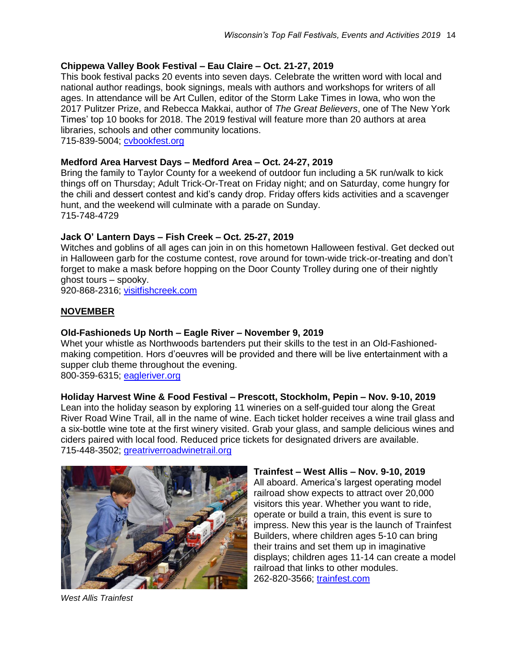# **Chippewa Valley Book Festival – Eau Claire – Oct. 21-27, 2019**

This book festival packs 20 events into seven days. Celebrate the written word with local and national author readings, book signings, meals with authors and workshops for writers of all ages. In attendance will be Art Cullen, editor of the Storm Lake Times in Iowa, who won the 2017 Pulitzer Prize, and Rebecca Makkai, author of *The Great Believers*, one of The New York Times' top 10 books for 2018. The 2019 festival will feature more than 20 authors at area libraries, schools and other community locations. 715-839-5004; [cvbookfest.org](http://www.cvbookfest.org/)

# **Medford Area Harvest Days – Medford Area – Oct. 24-27, 2019**

Bring the family to Taylor County for a weekend of outdoor fun including a 5K run/walk to kick things off on Thursday; Adult Trick-Or-Treat on Friday night; and on Saturday, come hungry for the chili and dessert contest and kid's candy drop. Friday offers kids activities and a scavenger hunt, and the weekend will culminate with a parade on Sunday. 715-748-4729

# **Jack O' Lantern Days – Fish Creek – Oct. 25-27, 2019**

Witches and goblins of all ages can join in on this hometown Halloween festival. Get decked out in Halloween garb for the costume contest, rove around for town-wide trick-or-treating and don't forget to make a mask before hopping on the Door County Trolley during one of their nightly ghost tours – spooky.

920-868-2316; [visitfishcreek.com](http://visitfishcreek.com/)

# **NOVEMBER**

# **Old-Fashioneds Up North – Eagle River – November 9, 2019**

Whet your whistle as Northwoods bartenders put their skills to the test in an Old-Fashionedmaking competition. Hors d'oeuvres will be provided and there will be live entertainment with a supper club theme throughout the evening. 800-359-6315; [eagleriver.org](http://www.eagleriver.org/)

# **Holiday Harvest Wine & Food Festival – Prescott, Stockholm, Pepin – Nov. 9-10, 2019**

Lean into the holiday season by exploring 11 wineries on a self-guided tour along the Great River Road Wine Trail, all in the name of wine. Each ticket holder receives a wine trail glass and a six-bottle wine tote at the first winery visited. Grab your glass, and sample delicious wines and ciders paired with local food. Reduced price tickets for designated drivers are available. 715-448-3502; [greatriverroadwinetrail.org](http://www.greatriverroadwinetrail.org/)



#### **Trainfest – West Allis – Nov. 9-10, 2019**  All aboard. America's largest operating model railroad show expects to attract over 20,000 visitors this year. Whether you want to ride, operate or build a train, this event is sure to impress. New this year is the launch of Trainfest Builders, where children ages 5-10 can bring their trains and set them up in imaginative displays; children ages 11-14 can create a model railroad that links to other modules. 262-820-3566; [trainfest.com](http://www.trainfest.com/)

*West Allis Trainfest*